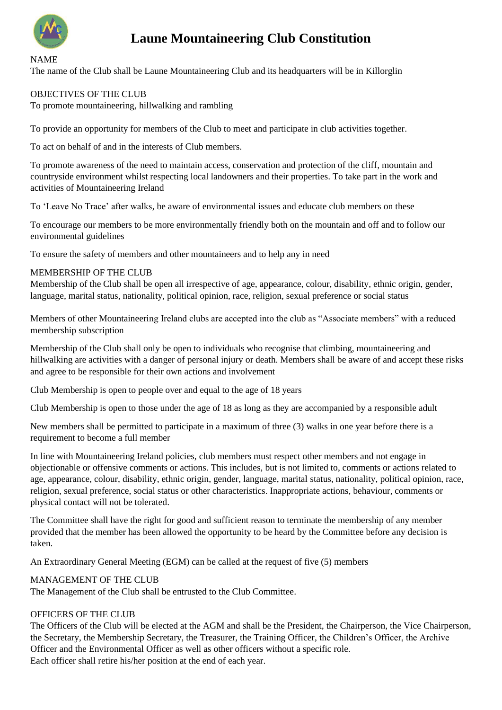

NAME

# **Laune Mountaineering Club Constitution**

The name of the Club shall be Laune Mountaineering Club and its headquarters will be in Killorglin

#### OBJECTIVES OF THE CLUB

To promote mountaineering, hillwalking and rambling

To provide an opportunity for members of the Club to meet and participate in club activities together.

To act on behalf of and in the interests of Club members.

To promote awareness of the need to maintain access, conservation and protection of the cliff, mountain and countryside environment whilst respecting local landowners and their properties. To take part in the work and activities of Mountaineering Ireland

To 'Leave No Trace' after walks, be aware of environmental issues and educate club members on these

To encourage our members to be more environmentally friendly both on the mountain and off and to follow our environmental guidelines

To ensure the safety of members and other mountaineers and to help any in need

#### MEMBERSHIP OF THE CLUB

Membership of the Club shall be open all irrespective of age, appearance, colour, disability, ethnic origin, gender, language, marital status, nationality, political opinion, race, religion, sexual preference or social status

Members of other Mountaineering Ireland clubs are accepted into the club as "Associate members" with a reduced membership subscription

Membership of the Club shall only be open to individuals who recognise that climbing, mountaineering and hillwalking are activities with a danger of personal injury or death. Members shall be aware of and accept these risks and agree to be responsible for their own actions and involvement

Club Membership is open to people over and equal to the age of 18 years

Club Membership is open to those under the age of 18 as long as they are accompanied by a responsible adult

New members shall be permitted to participate in a maximum of three (3) walks in one year before there is a requirement to become a full member

In line with Mountaineering Ireland policies, club members must respect other members and not engage in objectionable or offensive comments or actions. This includes, but is not limited to, comments or actions related to age, appearance, colour, disability, ethnic origin, gender, language, marital status, nationality, political opinion, race, religion, sexual preference, social status or other characteristics. Inappropriate actions, behaviour, comments or physical contact will not be tolerated.

The Committee shall have the right for good and sufficient reason to terminate the membership of any member provided that the member has been allowed the opportunity to be heard by the Committee before any decision is taken.

An Extraordinary General Meeting (EGM) can be called at the request of five (5) members

#### MANAGEMENT OF THE CLUB

The Management of the Club shall be entrusted to the Club Committee.

### OFFICERS OF THE CLUB

The Officers of the Club will be elected at the AGM and shall be the President, the Chairperson, the Vice Chairperson, the Secretary, the Membership Secretary, the Treasurer, the Training Officer, the Children's Officer, the Archive Officer and the Environmental Officer as well as other officers without a specific role. Each officer shall retire his/her position at the end of each year.